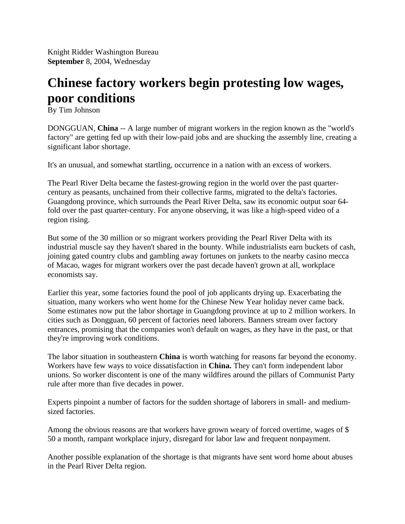Knight Ridder Washington Bureau **September** 8, 2004, Wednesday

## **Chinese factory workers begin protesting low wages, poor conditions**

By Tim Johnson

DONGGUAN, **China** -- A large number of migrant workers in the region known as the "world's factory" are getting fed up with their low-paid jobs and are shucking the assembly line, creating a significant labor shortage.

It's an unusual, and somewhat startling, occurrence in a nation with an excess of workers.

The Pearl River Delta became the fastest-growing region in the world over the past quartercentury as peasants, unchained from their collective farms, migrated to the delta's factories. Guangdong province, which surrounds the Pearl River Delta, saw its economic output soar 64 fold over the past quarter-century. For anyone observing, it was like a high-speed video of a region rising.

But some of the 30 million or so migrant workers providing the Pearl River Delta with its industrial muscle say they haven't shared in the bounty. While industrialists earn buckets of cash, joining gated country clubs and gambling away fortunes on junkets to the nearby casino mecca of Macao, wages for migrant workers over the past decade haven't grown at all, workplace economists say.

Earlier this year, some factories found the pool of job applicants drying up. Exacerbating the situation, many workers who went home for the Chinese New Year holiday never came back. Some estimates now put the labor shortage in Guangdong province at up to 2 million workers. In cities such as Dongguan, 60 percent of factories need laborers. Banners stream over factory entrances, promising that the companies won't default on wages, as they have in the past, or that they're improving work conditions.

The labor situation in southeastern **China** is worth watching for reasons far beyond the economy. Workers have few ways to voice dissatisfaction in **China.** They can't form independent labor unions. So worker discontent is one of the many wildfires around the pillars of Communist Party rule after more than five decades in power.

Experts pinpoint a number of factors for the sudden shortage of laborers in small- and mediumsized factories.

Among the obvious reasons are that workers have grown weary of forced overtime, wages of \$ 50 a month, rampant workplace injury, disregard for labor law and frequent nonpayment.

Another possible explanation of the shortage is that migrants have sent word home about abuses in the Pearl River Delta region.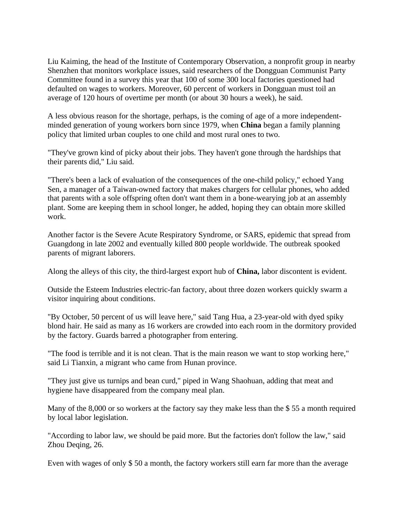Liu Kaiming, the head of the Institute of Contemporary Observation, a nonprofit group in nearby Shenzhen that monitors workplace issues, said researchers of the Dongguan Communist Party Committee found in a survey this year that 100 of some 300 local factories questioned had defaulted on wages to workers. Moreover, 60 percent of workers in Dongguan must toil an average of 120 hours of overtime per month (or about 30 hours a week), he said.

A less obvious reason for the shortage, perhaps, is the coming of age of a more independentminded generation of young workers born since 1979, when **China** began a family planning policy that limited urban couples to one child and most rural ones to two.

"They've grown kind of picky about their jobs. They haven't gone through the hardships that their parents did," Liu said.

"There's been a lack of evaluation of the consequences of the one-child policy," echoed Yang Sen, a manager of a Taiwan-owned factory that makes chargers for cellular phones, who added that parents with a sole offspring often don't want them in a bone-wearying job at an assembly plant. Some are keeping them in school longer, he added, hoping they can obtain more skilled work.

Another factor is the Severe Acute Respiratory Syndrome, or SARS, epidemic that spread from Guangdong in late 2002 and eventually killed 800 people worldwide. The outbreak spooked parents of migrant laborers.

Along the alleys of this city, the third-largest export hub of **China,** labor discontent is evident.

Outside the Esteem Industries electric-fan factory, about three dozen workers quickly swarm a visitor inquiring about conditions.

"By October, 50 percent of us will leave here," said Tang Hua, a 23-year-old with dyed spiky blond hair. He said as many as 16 workers are crowded into each room in the dormitory provided by the factory. Guards barred a photographer from entering.

"The food is terrible and it is not clean. That is the main reason we want to stop working here," said Li Tianxin, a migrant who came from Hunan province.

"They just give us turnips and bean curd," piped in Wang Shaohuan, adding that meat and hygiene have disappeared from the company meal plan.

Many of the 8,000 or so workers at the factory say they make less than the \$ 55 a month required by local labor legislation.

"According to labor law, we should be paid more. But the factories don't follow the law," said Zhou Deqing, 26.

Even with wages of only \$ 50 a month, the factory workers still earn far more than the average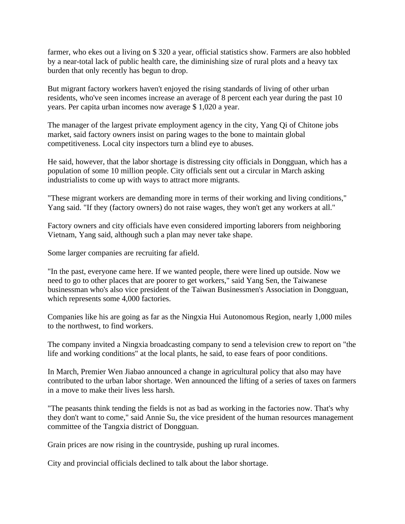farmer, who ekes out a living on \$ 320 a year, official statistics show. Farmers are also hobbled by a near-total lack of public health care, the diminishing size of rural plots and a heavy tax burden that only recently has begun to drop.

But migrant factory workers haven't enjoyed the rising standards of living of other urban residents, who've seen incomes increase an average of 8 percent each year during the past 10 years. Per capita urban incomes now average \$ 1,020 a year.

The manager of the largest private employment agency in the city, Yang Qi of Chitone jobs market, said factory owners insist on paring wages to the bone to maintain global competitiveness. Local city inspectors turn a blind eye to abuses.

He said, however, that the labor shortage is distressing city officials in Dongguan, which has a population of some 10 million people. City officials sent out a circular in March asking industrialists to come up with ways to attract more migrants.

"These migrant workers are demanding more in terms of their working and living conditions," Yang said. "If they (factory owners) do not raise wages, they won't get any workers at all."

Factory owners and city officials have even considered importing laborers from neighboring Vietnam, Yang said, although such a plan may never take shape.

Some larger companies are recruiting far afield.

"In the past, everyone came here. If we wanted people, there were lined up outside. Now we need to go to other places that are poorer to get workers," said Yang Sen, the Taiwanese businessman who's also vice president of the Taiwan Businessmen's Association in Dongguan, which represents some 4,000 factories.

Companies like his are going as far as the Ningxia Hui Autonomous Region, nearly 1,000 miles to the northwest, to find workers.

The company invited a Ningxia broadcasting company to send a television crew to report on "the life and working conditions" at the local plants, he said, to ease fears of poor conditions.

In March, Premier Wen Jiabao announced a change in agricultural policy that also may have contributed to the urban labor shortage. Wen announced the lifting of a series of taxes on farmers in a move to make their lives less harsh.

"The peasants think tending the fields is not as bad as working in the factories now. That's why they don't want to come," said Annie Su, the vice president of the human resources management committee of the Tangxia district of Dongguan.

Grain prices are now rising in the countryside, pushing up rural incomes.

City and provincial officials declined to talk about the labor shortage.